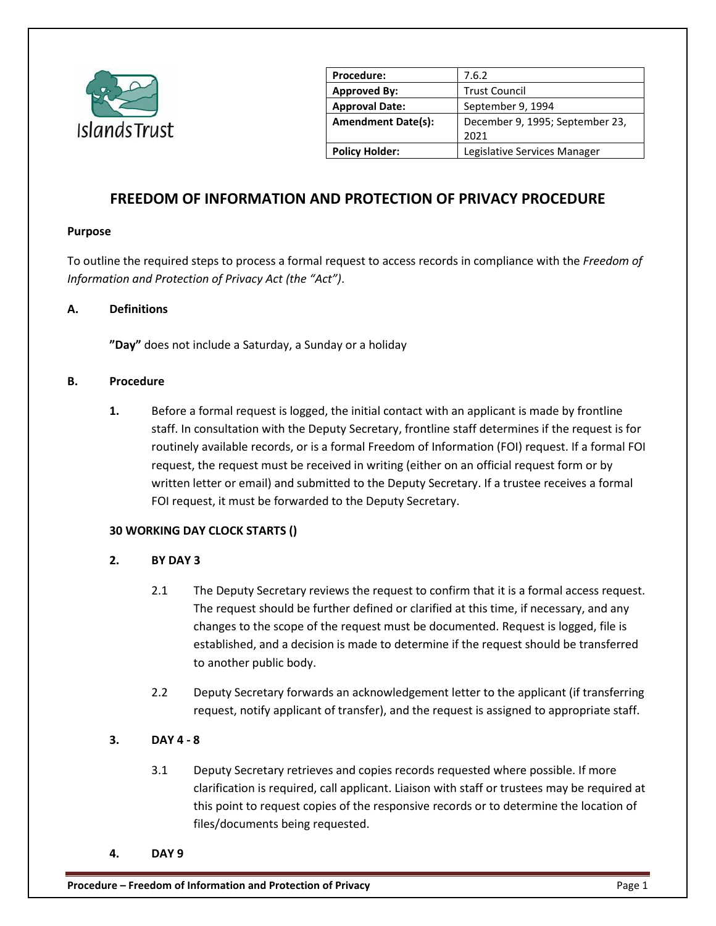

| Procedure:                | 7.6.2                           |
|---------------------------|---------------------------------|
| <b>Approved By:</b>       | <b>Trust Council</b>            |
| <b>Approval Date:</b>     | September 9, 1994               |
| <b>Amendment Date(s):</b> | December 9, 1995; September 23, |
|                           | 2021                            |
| <b>Policy Holder:</b>     | Legislative Services Manager    |
|                           |                                 |

# **FREEDOM OF INFORMATION AND PROTECTION OF PRIVACY PROCEDURE**

#### **Purpose**

To outline the required steps to process a formal request to access records in compliance with the *Freedom of Information and Protection of Privacy Act (the "Act")*.

## **A. Definitions**

**"Day"** does not include a Saturday, a Sunday or a holiday

## **B. Procedure**

**1.** Before a formal request is logged, the initial contact with an applicant is made by frontline staff. In consultation with the Deputy Secretary, frontline staff determines if the request is for routinely available records, or is a formal Freedom of Information (FOI) request. If a formal FOI request, the request must be received in writing (either on an official request form or by written letter or email) and submitted to the Deputy Secretary. If a trustee receives a formal FOI request, it must be forwarded to the Deputy Secretary.

## **30 WORKING DAY CLOCK STARTS ()**

## **2. BY DAY 3**

- 2.1 The Deputy Secretary reviews the request to confirm that it is a formal access request. The request should be further defined or clarified at this time, if necessary, and any changes to the scope of the request must be documented. Request is logged, file is established, and a decision is made to determine if the request should be transferred to another public body.
- 2.2 Deputy Secretary forwards an acknowledgement letter to the applicant (if transferring request, notify applicant of transfer), and the request is assigned to appropriate staff.

# **3. DAY 4 - 8**

- 3.1 Deputy Secretary retrieves and copies records requested where possible. If more clarification is required, call applicant. Liaison with staff or trustees may be required at this point to request copies of the responsive records or to determine the location of files/documents being requested.
- **4. DAY 9**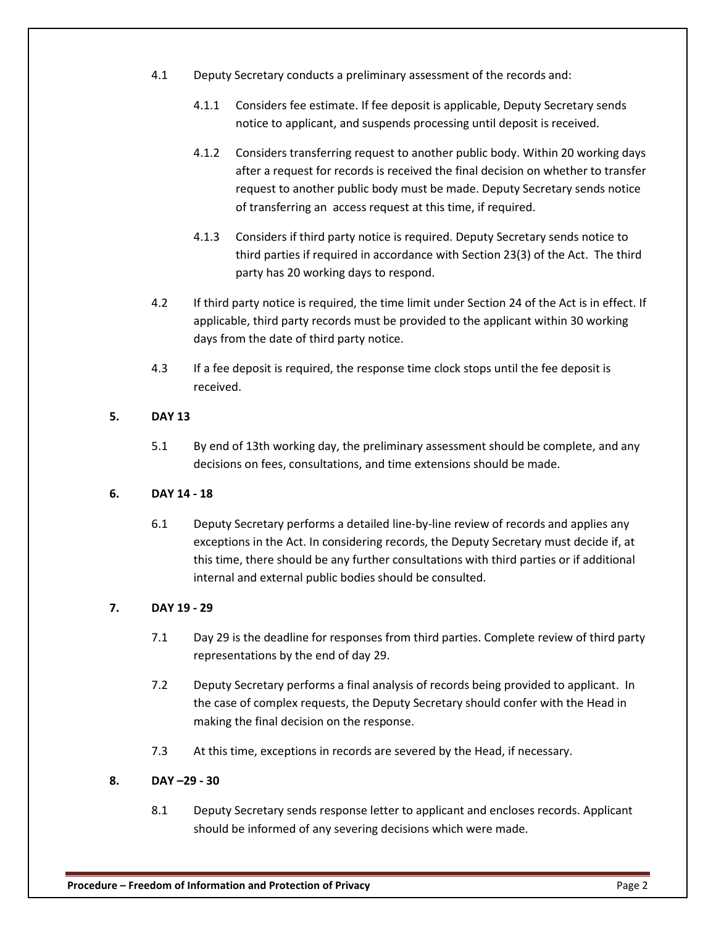- 4.1 Deputy Secretary conducts a preliminary assessment of the records and:
	- 4.1.1 Considers fee estimate. If fee deposit is applicable, Deputy Secretary sends notice to applicant, and suspends processing until deposit is received.
	- 4.1.2 Considers transferring request to another public body. Within 20 working days after a request for records is received the final decision on whether to transfer request to another public body must be made. Deputy Secretary sends notice of transferring an access request at this time, if required.
	- 4.1.3 Considers if third party notice is required. Deputy Secretary sends notice to third parties if required in accordance with Section 23(3) of the Act. The third party has 20 working days to respond.
- 4.2 If third party notice is required, the time limit under Section 24 of the Act is in effect. If applicable, third party records must be provided to the applicant within 30 working days from the date of third party notice.
- 4.3 If a fee deposit is required, the response time clock stops until the fee deposit is received.

## **5. DAY 13**

5.1 By end of 13th working day, the preliminary assessment should be complete, and any decisions on fees, consultations, and time extensions should be made.

# **6. DAY 14 - 18**

6.1 Deputy Secretary performs a detailed line-by-line review of records and applies any exceptions in the Act. In considering records, the Deputy Secretary must decide if, at this time, there should be any further consultations with third parties or if additional internal and external public bodies should be consulted.

# **7. DAY 19 - 29**

- 7.1 Day 29 is the deadline for responses from third parties. Complete review of third party representations by the end of day 29.
- 7.2 Deputy Secretary performs a final analysis of records being provided to applicant. In the case of complex requests, the Deputy Secretary should confer with the Head in making the final decision on the response.
- 7.3 At this time, exceptions in records are severed by the Head, if necessary.

# **8. DAY –29 - 30**

8.1 Deputy Secretary sends response letter to applicant and encloses records. Applicant should be informed of any severing decisions which were made.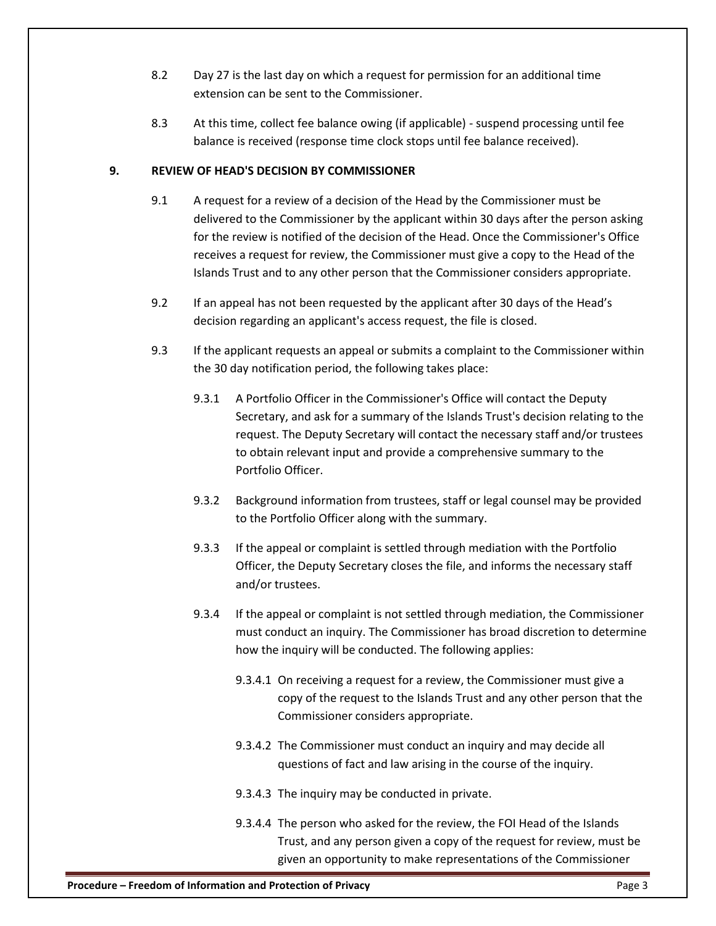- 8.2 Day 27 is the last day on which a request for permission for an additional time extension can be sent to the Commissioner.
- 8.3 At this time, collect fee balance owing (if applicable) suspend processing until fee balance is received (response time clock stops until fee balance received).

## **9. REVIEW OF HEAD'S DECISION BY COMMISSIONER**

- 9.1 A request for a review of a decision of the Head by the Commissioner must be delivered to the Commissioner by the applicant within 30 days after the person asking for the review is notified of the decision of the Head. Once the Commissioner's Office receives a request for review, the Commissioner must give a copy to the Head of the Islands Trust and to any other person that the Commissioner considers appropriate.
- 9.2 If an appeal has not been requested by the applicant after 30 days of the Head's decision regarding an applicant's access request, the file is closed.
- 9.3 If the applicant requests an appeal or submits a complaint to the Commissioner within the 30 day notification period, the following takes place:
	- 9.3.1 A Portfolio Officer in the Commissioner's Office will contact the Deputy Secretary, and ask for a summary of the Islands Trust's decision relating to the request. The Deputy Secretary will contact the necessary staff and/or trustees to obtain relevant input and provide a comprehensive summary to the Portfolio Officer.
	- 9.3.2 Background information from trustees, staff or legal counsel may be provided to the Portfolio Officer along with the summary.
	- 9.3.3 If the appeal or complaint is settled through mediation with the Portfolio Officer, the Deputy Secretary closes the file, and informs the necessary staff and/or trustees.
	- 9.3.4 If the appeal or complaint is not settled through mediation, the Commissioner must conduct an inquiry. The Commissioner has broad discretion to determine how the inquiry will be conducted. The following applies:
		- 9.3.4.1 On receiving a request for a review, the Commissioner must give a copy of the request to the Islands Trust and any other person that the Commissioner considers appropriate.
		- 9.3.4.2 The Commissioner must conduct an inquiry and may decide all questions of fact and law arising in the course of the inquiry.
		- 9.3.4.3 The inquiry may be conducted in private.
		- 9.3.4.4 The person who asked for the review, the FOI Head of the Islands Trust, and any person given a copy of the request for review, must be given an opportunity to make representations of the Commissioner